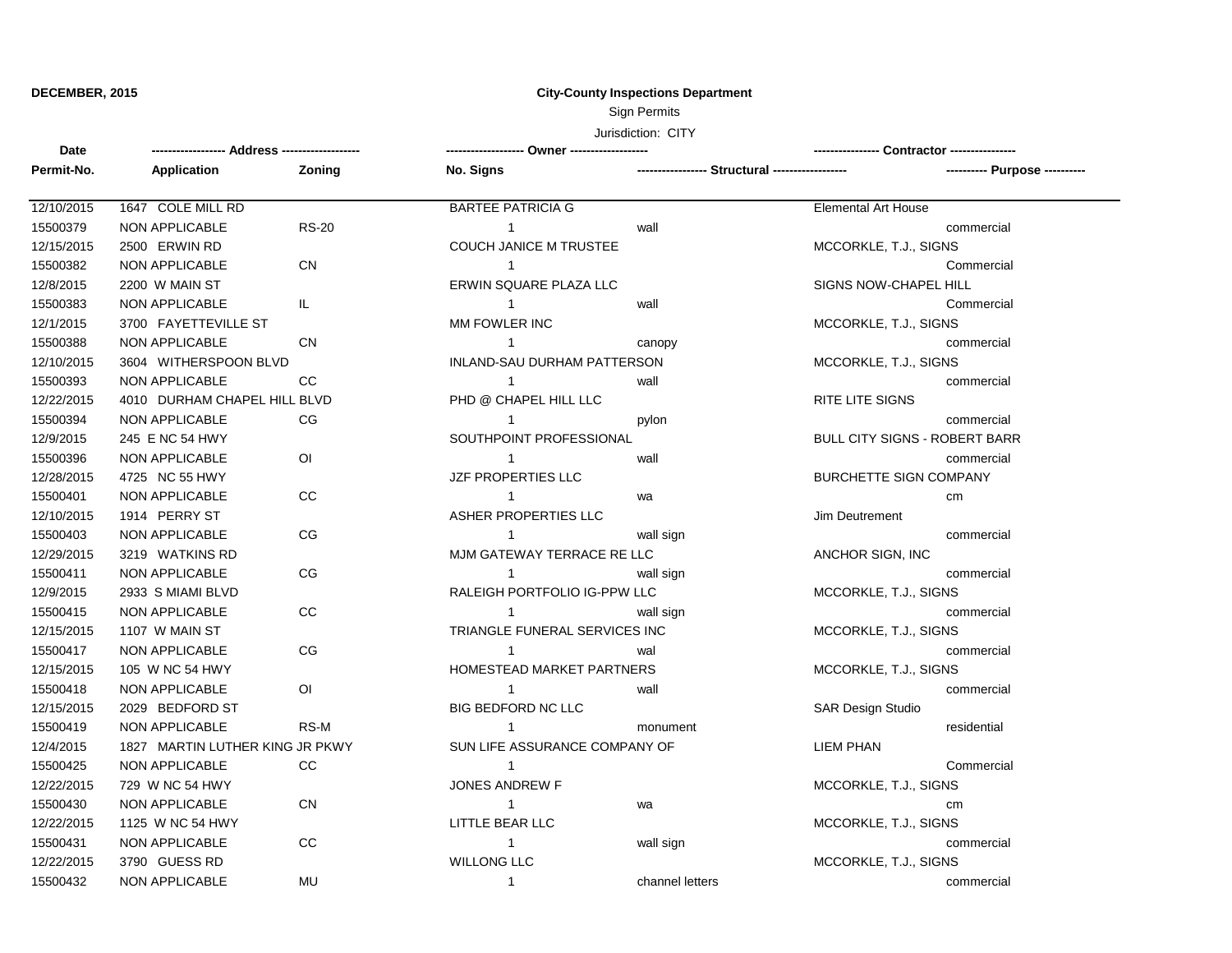**Date**

## **DECEMBER, 2015 City-County Inspections Department**

Sign Permits

Jurisdiction: CITY

**------------------ Address ------------------- ------------------- Owner ------------------- ---------------- Contractor ----------------**

**Zoning** 1 1 1 1 1 1 1 1 1 1 1 1 1 1 1 1 1 1 **Permit-No. Application No. Signs ----------------- Structural ------------------ ---------- Purpose ----------** 12/10/2015 1647 COLE MILL RD BARTEE PATRICIA G Elemental Art House 15500379 NON APPLICABLE RS-20 wall commercial 12/15/2015 2500 ERWIN RD COUCH JANICE M TRUSTEE MOST MCCORKLE, T.J., SIGNS 15500382 NON APPLICABLE CN Commercial 12/8/2015 2200 W MAIN ST **ERWIN SQUARE PLAZA LLC** SIGNS NOW-CHAPEL HILL SIGNS NOW-CHAPEL HILL 15500383 NON APPLICABLE IL wall Commercial 12/1/2015 3700 FAYETTEVILLE ST NORTH MAN FOWLER INC NORTH STATES AND RECORKLE, T.J., SIGNS 15500388 NON APPLICABLE CN CN 2009 CONTROL 2010 CANOVERSITY CANOVERSITY COMMERCIAL COMMERCIAL COMMERCIAL COMM 12/10/2015 3604 WITHERSPOON BLVD INLAND-SAU DURHAM PATTERSON MCCORKLE, T.J., SIGNS 15500393 NON APPLICABLE CC wall commercial 12/22/2015 4010 DURHAM CHAPEL HILL BLVD PHD @ CHAPEL HILL LLC RITE LITE SIGNS 15500394 NON APPLICABLE CG CG 1 1 pylon pylon pylon commercial 12/9/2015 245 E NC 54 HWY SOUTHPOINT PROFESSIONAL BULL CITY SIGNS - ROBERT BARR 15500396 NON APPLICABLE OI wall commercial 12/28/2015 4725 NC 55 HWY JZF PROPERTIES LLC BURCHETTE SIGN COMPANY 15500401 NON APPLICABLE CC wa cm 12/10/2015 1914 PERRY ST **ASHER PROPERTIES LLC** Jim Deutrement 15500403 NON APPLICABLE CG wall sign commercial 12/29/2015 3219 WATKINS RD MJM GATEWAY TERRACE RE LLC ANCHOR SIGN, INC 15500411 NON APPLICABLE CG wall sign commercial 12/9/2015 2933 S MIAMI BLVD RALEIGH PORTFOLIO IG-PPW LLC MCCORKLE, T.J., SIGNS 15500415 NON APPLICABLE CC wall sign commercial 12/15/2015 1107 W MAIN ST TRIANGLE FUNERAL SERVICES INC MCCORKLE, T.J., SIGNS 15500417 NON APPLICABLE CG wal commercial 12/15/2015 105 W NC 54 HWY HOMESTEAD MARKET PARTNERS MCCORKLE, T.J., SIGNS 15500418 NON APPLICABLE OI wall commercial 12/15/2015 2029 BEDFORD ST BIG BEDFORD NC LLC SAR Design Studio 15500419 NON APPLICABLE RS-M RS-M 1 monument residential 12/4/2015 1827 MARTIN LUTHER KING JR PKWY SUN LIFE ASSURANCE COMPANY OF LIEM PHAN 15500425 NON APPLICABLE CC Commercial 12/22/2015 729 W NC 54 HWY **SALLA ANDREW F** JONES ANDREW F STOLEN AND THE MCCORKLE, T.J., SIGNS 15500430 NON APPLICABLE CN wa cm 12/22/2015 1125 W NC 54 HWY LITTLE BEAR LLC MCCORKLE, T.J., SIGNS 15500431 NON APPLICABLE CC wall sign commercial 12/22/2015 3790 GUESS RD WILLONG LLC MCCORKLE, T.J., SIGNS 15500432 NON APPLICABLE MU channel letters commercial